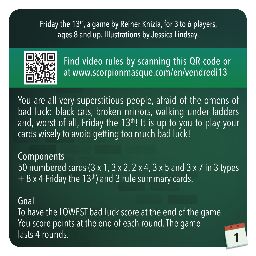Friday the 13<sup>th</sup>, a game by Reiner Knizia, for 3 to 6 players, ages 8 and up. Illustrations by Jessica Lindsay.



Find video rules by scanning this QR code or at www.scorpionmasque.com/en/vendredi13

You are all very superstitious people, afraid of the omens of bad luck: black cats, broken mirrors, walking under ladders and, worst of all, Friday the  $13<sup>th</sup>$ ! It is up to you to play your cards wisely to avoid getting too much bad luck!

**Components** 50 numbered cards (3 x 1, 3 x 2, 2 x 4, 3 x 5 and 3 x 7 in 3 types  $+ 8x 4$  Friday the 13<sup>th</sup>) and 3 rule summary cards.

#### Goal

To have the LOWEST bad luck score at the end of the game. You score points at the end of each round. The game lasts 4 rounds.

**1**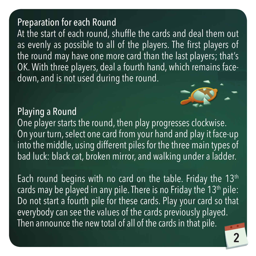## Preparation for each Round

At the start of each round, shuffle the cards and deal them out as evenly as possible to all of the players. The first players of the round may have one more card than the last players; that's OK. With three players, deal a fourth hand, which remains facedown, and is not used during the round.

# Playing a Round



One player starts the round, then play progresses clockwise. On your turn, select one card from your hand and play it face-up into the middle, using different piles for the three main types of bad luck: black cat, broken mirror, and walking under a ladder.

Each round begins with no card on the table. Friday the  $13<sup>th</sup>$ cards may be played in any pile. There is no Friday the  $13<sup>th</sup>$  pile: Do not start a fourth pile for these cards. Play your card so that everybody can see the values of the cards previously played. Then announce the new total of all of the cards in that pile.

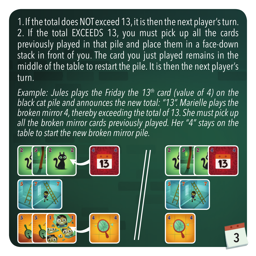1. If the total does NOT exceed 13, it is then the next player's turn. 2. If the total EXCEEDS 13, you must pick up all the cards previously played in that pile and place them in a face-down stack in front of you. The card you just played remains in the middle of the table to restart the pile. It is then the next player's turn.

*Example: Jules plays the Friday the 13<sup>th</sup> card (value of 4) on the black cat pile and announces the new total: "13". Marielle plays the broken mirror 4, thereby exceeding the total of 13. She must pick up all the broken mirror cards previously played. Her "4" stays on the table to start the new broken mirror pile.*

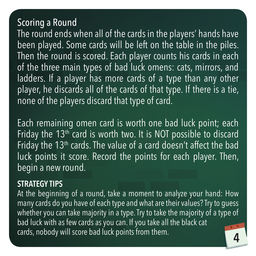# Scoring a Round

The round ends when all of the cards in the players' hands have been played. Some cards will be left on the table in the piles. Then the round is scored. Each player counts his cards in each of the three main types of bad luck omens: cats, mirrors, and ladders. If a player has more cards of a type than any other player, he discards all of the cards of that type. If there is a tie, none of the players discard that type of card.

Each remaining omen card is worth one bad luck point; each Friday the  $13<sup>th</sup>$  card is worth two. It is NOT possible to discard Friday the 13<sup>th</sup> cards. The value of a card doesn't affect the bad luck points it score. Record the points for each player. Then, begin a new round.

#### **STRATEGY TIPS**

**4** At the beginning of a round, take a moment to analyze your hand: How many cards do you have of each type and what are their values? Try to guess whether you can take majority in a type. Try to take the majority of a type of bad luck with as few cards as you can. If you take all the black cat cards, nobody will score bad luck points from them.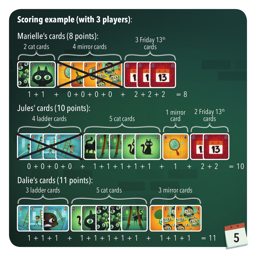### **5 Scoring example (with 3 players)**: Marielle's cards (8 points): Jules' cards (10 points): Dalie's cards (11 points): 4 ladder cards 5 cat cards 1 mirror card 2 Friday 13th cards  $0 + 0 + 0 + 0 + 1 + 1 + 1 + 1 + 1 + 1 + 1 + 1 + 1 + 2 + 2 = 10$  $7 + 7 + 7 = 8$ 3 Friday 13th cards  $\overline{0}$  + 0 2 cat cards 4 mirror cards 1 + 1 + 1 3 mirror cards  $1 + 1 + 1$  +  $1 + 1 + 1 + 1 + 1$  +  $1 + 1 + 1$  = 11 3 ladder cards 1 + 1 + 1 + 1 + 1 5 cat cards